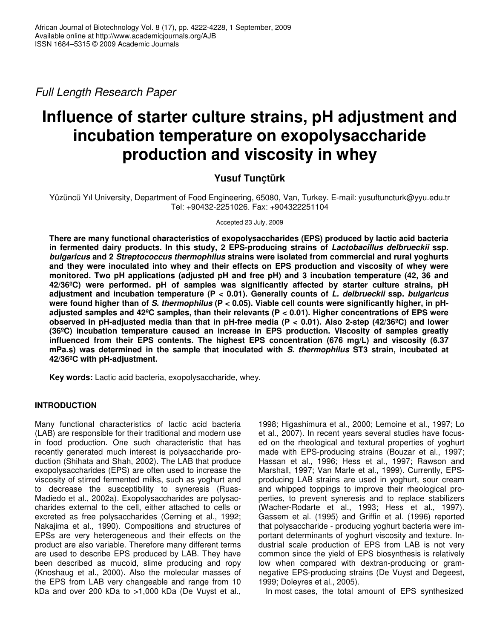*Full Length Research Paper*

# **Influence of starter culture strains, pH adjustment and incubation temperature on exopolysaccharide production and viscosity in whey**

# **Yusuf Tunçtürk**

Yüzüncü Yıl University, Department of Food Engineering, 65080, Van, Turkey. E-mail: yusuftuncturk@yyu.edu.tr Tel: +90432-2251026. Fax: +904322251104

Accepted 23 July, 2009

**There are many functional characteristics of exopolysaccharides (EPS) produced by lactic acid bacteria in fermented dairy products. In this study, 2 EPS-producing strains of** *Lactobacillus delbrueckii* **ssp.** *bulgaricus* **and 2** *Streptococcus thermophilus* **strains were isolated from commercial and rural yoghurts and they were inoculated into whey and their effects on EPS production and viscosity of whey were monitored. Two pH applications (adjusted pH and free pH) and 3 incubation temperature (42, 36 and 42/36ºC) were performed. pH of samples was significantly affected by starter culture strains, pH adjustment and incubation temperature (P < 0.01). Generally counts of** *L. delbrueckii* **ssp.** *bulgaricus* were found higher than of S. thermophilus ( $P < 0.05$ ). Viable cell counts were significantly higher, in pH**adjusted samples and 42ºC samples, than their relevants (P < 0.01). Higher concentrations of EPS were observed in pH-adjusted media than that in pH-free media (P < 0.01). Also 2-step (42/36ºC) and lower (36ºC) incubation temperature caused an increase in EPS production. Viscosity of samples greatly influenced from their EPS contents. The highest EPS concentration (676 mg/L) and viscosity (6.37 mPa.s) was determined in the sample that inoculated with** *S. thermophilus* **ST3 strain, incubated at 42/36ºC with pH-adjustment.**

**Key words:** Lactic acid bacteria, exopolysaccharide, whey.

# **INTRODUCTION**

Many functional characteristics of lactic acid bacteria (LAB) are responsible for their traditional and modern use in food production. One such characteristic that has recently generated much interest is polysaccharide production (Shihata and Shah, 2002). The LAB that produce exopolysaccharides (EPS) are often used to increase the viscosity of stirred fermented milks, such as yoghurt and to decrease the susceptibility to syneresis (Ruas-Madiedo et al., 2002a). Exopolysaccharides are polysaccharides external to the cell, either attached to cells or excreted as free polysaccharides (Cerning et al., 1992; Nakajima et al., 1990). Compositions and structures of EPSs are very heterogeneous and their effects on the product are also variable. Therefore many different terms are used to describe EPS produced by LAB. They have been described as mucoid, slime producing and ropy (Knoshaug et al., 2000). Also the molecular masses of the EPS from LAB very changeable and range from 10 kDa and over 200 kDa to >1,000 kDa (De Vuyst et al., 1998; Higashimura et al., 2000; Lemoine et al., 1997; Lo et al., 2007). In recent years several studies have focused on the rheological and textural properties of yoghurt made with EPS-producing strains (Bouzar et al., 1997; Hassan et al., 1996; Hess et al., 1997; Rawson and Marshall, 1997; Van Marle et al., 1999). Currently, EPSproducing LAB strains are used in yoghurt, sour cream and whipped toppings to improve their rheological properties, to prevent syneresis and to replace stabilizers (Wacher-Rodarte et al., 1993; Hess et al., 1997). Gassem et al. (1995) and Griffin et al. (1996) reported that polysaccharide - producing yoghurt bacteria were important determinants of yoghurt viscosity and texture. Industrial scale production of EPS from LAB is not very common since the yield of EPS biosynthesis is relatively low when compared with dextran-producing or gramnegative EPS-producing strains (De Vuyst and Degeest, 1999; Doleyres et al., 2005).

In most cases, the total amount of EPS synthesized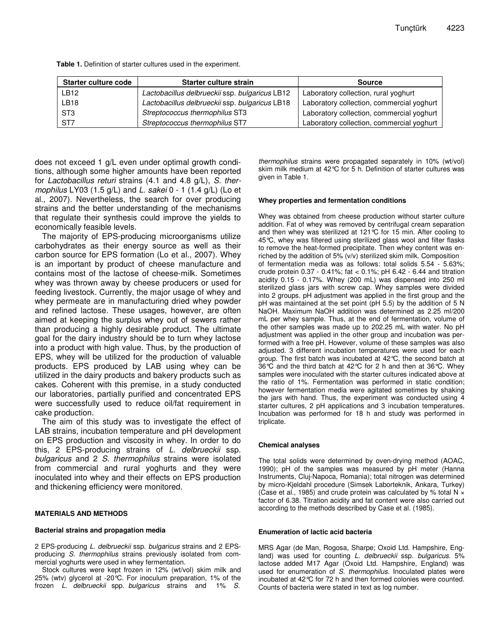| Starter culture code | Starter culture strain                         | <b>Source</b>                             |
|----------------------|------------------------------------------------|-------------------------------------------|
| LB12                 | Lactobacillus delbrueckii ssp. bulgaricus LB12 | Laboratory collection, rural yoghurt      |
| <b>LB18</b>          | Lactobacillus delbrueckii ssp. bulgaricus LB18 | Laboratory collection, commercial yoghurt |
| ST3                  | Streptococcus thermophilus ST3                 | Laboratory collection, commercial yoghurt |
| ST7                  | Streptococcus thermophilus ST7                 | Laboratory collection, commercial yoghurt |

**Table 1.** Definition of starter cultures used in the experiment.

does not exceed 1 g/L even under optimal growth conditions, although some higher amounts have been reported for *Lactobacillus returi* strains (4.1 and 4.8 g/L), *S. thermophilus* LY03 (1.5 g/L) and *L. sakei* 0 - 1 (1.4 g/L) (Lo et al., 2007). Nevertheless, the search for over producing strains and the better understanding of the mechanisms that regulate their synthesis could improve the yields to economically feasible levels.

The majority of EPS-producing microorganisms utilize carbohydrates as their energy source as well as their carbon source for EPS formation (Lo et al., 2007). Whey is an important by product of cheese manufacture and contains most of the lactose of cheese-milk. Sometimes whey was thrown away by cheese producers or used for feeding livestock. Currently, the major usage of whey and whey permeate are in manufacturing dried whey powder and refined lactose. These usages, however, are often aimed at keeping the surplus whey out of sewers rather than producing a highly desirable product. The ultimate goal for the dairy industry should be to turn whey lactose into a product with high value. Thus, by the production of EPS, whey will be utilized for the production of valuable products. EPS produced by LAB using whey can be utilized in the dairy products and bakery products such as cakes. Coherent with this premise, in a study conducted our laboratories, partially purified and concentrated EPS were successfully used to reduce oil/fat requirement in cake production.

The aim of this study was to investigate the effect of LAB strains, incubation temperature and pH development on EPS production and viscosity in whey. In order to do this, 2 EPS-producing strains of *L. delbrueckii* ssp. *bulgaricus* and 2 *S. thermophilus* strains were isolated from commercial and rural yoghurts and they were inoculated into whey and their effects on EPS production and thickening efficiency were monitored.

#### **MATERIALS AND METHODS**

#### **Bacterial strains and propagation media**

2 EPS-producing *L. delbrueckii* ssp. *bulgaricus* strains and 2 EPSproducing *S. thermophilus* strains previously isolated from commercial yoghurts were used in whey fermentation.

Stock cultures were kept frozen in 12% (wt/vol) skim milk and 25% (wtv) glycerol at -20°C. For inoculum preparation, 1% of the frozen *L. delbrueckii* spp. *bulgaricus* strains and 1% *S.*

*thermophilus* strains were propagated separately in 10% (wt/vol) skim milk medium at 42°C for 5 h. Definition of starter cultures was given in Table 1.

#### **Whey properties and fermentation conditions**

Whey was obtained from cheese production without starter culture addition. Fat of whey was removed by centrifugal cream separation and then whey was sterilized at 121°C for 15 min. After cooling to 45°C, whey was filtered using sterilized glass wool and filter flasks to remove the heat-formed precipitate. Then whey content was enriched by the addition of 5% (v/v) sterilized skim milk. Composition of fermentation media was as follows: total solids 5.54 - 5.63%; crude protein 0.37 - 0.41%; fat < 0.1%; pH 6.42 - 6.44 and titration acidity 0.15 - 0.17%. Whey (200 mL) was dispensed into 250 ml sterilized glass jars with screw cap. Whey samples were divided into 2 groups. pH adjustment was applied in the first group and the pH was maintained at the set point (pH 5.5) by the addition of 5 N NaOH. Maximum NaOH addition was determined as 2.25 ml/200 mL per whey sample. Thus, at the end of fermentation, volume of the other samples was made up to 202.25 mL with water. No pH adjustment was applied in the other group and incubation was performed with a free pH. However, volume of these samples was also adjusted. 3 different incubation temperatures were used for each group. The first batch was incubated at 42°C, the second batch at 36°C and the third batch at 42°C for 2 h and then at 36°C. Whey samples were inoculated with the starter cultures indicated above at the ratio of 1%. Fermentation was performed in static condition; however fermentation media were agitated sometimes by shaking the jars with hand. Thus, the experiment was conducted using 4 starter cultures, 2 pH applications and 3 incubation temperatures. Incubation was performed for 18 h and study was performed in triplicate.

#### **Chemical analyses**

The total solids were determined by oven-drying method (AOAC, 1990); pH of the samples was measured by pH meter (Hanna Instruments, Cluj-Napoca, Romania); total nitrogen was determined by micro-Kjeldahl procedure (Simsek Laborteknik, Ankara, Turkey) (Case et al., 1985) and crude protein was calculated by % total N  $\times$ factor of 6.38. Titration acidity and fat content were also carried out according to the methods described by Case et al. (1985).

#### **Enumeration of lactic acid bacteria**

MRS Agar (de Man, Rogosa, Sharpe; Oxoid Ltd. Hampshire, England) was used for counting *L. delbrueckii* ssp. *bulgaricus*. 5% lactose added M17 Agar (Oxoid Ltd. Hampshire, England) was used for enumeration of *S. thermophilus.* Inoculated plates were incubated at 42°C for 72 h and then formed colonies were counted. Counts of bacteria were stated in text as log number.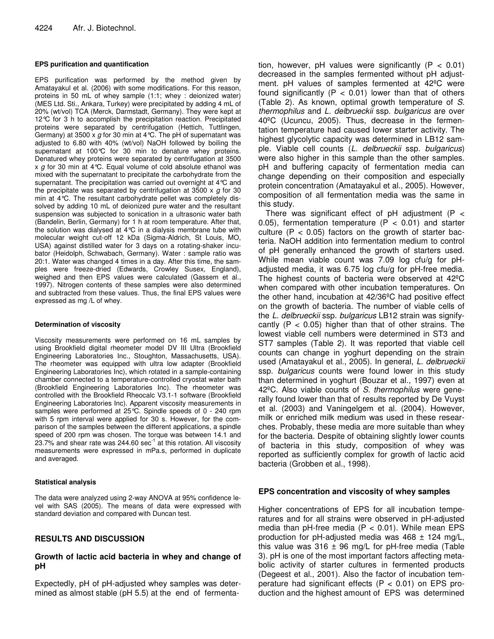#### **EPS purification and quantification**

EPS purification was performed by the method given by Amatayakul et al. (2006) with some modifications. For this reason, proteins in 50 mL of whey sample (1:1; whey : deionized water) (MES Ltd. Sti., Ankara, Turkey) were precipitated by adding 4 mL of 20% (wt/vol) TCA (Merck, Darmstadt, Germany). They were kept at 12°C for 3 h to accomplish the precipitation reaction. Precipitated proteins were separated by centrifugation (Hettich, Tuttlingen, Germany) at 3500 x *g* for 30 min at 4°C. The pH of supernatant was adjusted to 6.80 with 40% (wt/vol) NaOH followed by boiling the supernatant at 100°C for 30 min to denature whey proteins. Denatured whey proteins were separated by centrifugation at 3500 x *g* for 30 min at 4°C. Equal volume of cold absolute ethanol was mixed with the supernatant to precipitate the carbohydrate from the supernatant. The precipitation was carried out overnight at 4°C and the precipitate was separated by centrifugation at 3500 x *g* for 30 min at 4°C. The resultant carbohydrate pellet was completely dissolved by adding 10 mL of deionized pure water and the resultant suspension was subjected to sonication in a ultrasonic water bath (Bandelin, Berlin, Germany) for 1 h at room temperature. After that, the solution was dialysed at 4°C in a dialysis membrane tube with molecular weight cut-off 12 kDa (Sigma-Aldrich, St Louis, MO, USA) against distilled water for 3 days on a rotating-shaker incubator (Heidolph, Schwabach, Germany). Water : sample ratio was 20:1. Water was changed 4 times in a day. After this time, the samples were freeze-dried (Edwards, Crowley Susex, England), weighed and then EPS values were calculated (Gassem et al., 1997). Nitrogen contents of these samples were also determined and subtracted from these values. Thus, the final EPS values were expressed as mg /L of whey.

#### **Determination of viscosity**

Viscosity measurements were performed on 16 mL samples by using Brookfield digital rheometer model DV III Ultra (Brookfield Engineering Laboratories Inc., Stoughton, Massachusetts, USA). The rheometer was equipped with ultra low adapter (Brookfield Engineering Laboratories Inc), which rotated in a sample-containing chamber connected to a temperature-controlled cryostat water bath (Brookfield Engineering Laboratories Inc). The rheometer was controlled with the Brookfield Rheocalc V3.1-1 software (Brookfield Engineering Laboratories Inc). Apparent viscosity measurements in samples were performed at 25 °C. Spindle speeds of 0 - 240 rpm with 5 rpm interval were applied for 30 s. However, for the comparison of the samples between the different applications, a spindle speed of 200 rpm was chosen. The torque was between 14.1 and 23.7% and shear rate was 244.60 sec $^{-1}$  at this rotation. All viscosity measurements were expressed in mPa.s, performed in duplicate and averaged.

#### **Statistical analysis**

The data were analyzed using 2-way ANOVA at 95% confidence level with SAS (2005). The means of data were expressed with standard deviation and compared with Duncan test.

## **RESULTS AND DISCUSSION**

### **Growth of lactic acid bacteria in whey and change of pH**

Expectedly, pH of pH-adjusted whey samples was determined as almost stable (pH 5.5) at the end of fermenta-

tion, however, pH values were significantly  $(P < 0.01)$ decreased in the samples fermented without pH adjustment. pH values of samples fermented at 42ºC were found significantly  $(P < 0.01)$  lower than that of others (Table 2). As known, optimal growth temperature of *S. thermophilus* and *L. delbrueckii* ssp. *bulgaricus* are over 40ºC (Ucuncu, 2005). Thus, decrease in the fermentation temperature had caused lower starter activity. The highest glycolytic capacity was determined in LB12 sample. Viable cell counts (*L. delbrueckii* ssp. *bulgaricus*) were also higher in this sample than the other samples. pH and buffering capacity of fermentation media can change depending on their composition and especially protein concentration (Amatayakul et al., 2005). However, composition of all fermentation media was the same in this study.

There was significant effect of  $pH$  adjustment (P < 0.05), fermentation temperature ( $P < 0.01$ ) and starter culture  $(P < 0.05)$  factors on the growth of starter bacteria. NaOH addition into fermentation medium to control of pH generally enhanced the growth of starters used. While mean viable count was 7.09 log cfu/g for pHadjusted media, it was 6.75 log cfu/g for pH-free media. The highest counts of bacteria were observed at 42ºC when compared with other incubation temperatures. On the other hand, incubation at 42/36ºC had positive effect on the growth of bacteria. The number of viable cells of the *L. delbrueckii* ssp. *bulgaricus* LB12 strain was signifycantly  $(P < 0.05)$  higher than that of other strains. The lowest viable cell numbers were determined in ST3 and ST7 samples (Table 2). It was reported that viable cell counts can change in yoghurt depending on the strain used (Amatayakul et al., 2005). In general, *L. delbrueckii* ssp. *bulgaricus* counts were found lower in this study than determined in yoghurt (Bouzar et al., 1997) even at 42ºC. Also viable counts of *S. thermophilus* were generally found lower than that of results reported by De Vuyst et al. (2003) and Vaningelgem et al. (2004). However, milk or enriched milk medium was used in these researches. Probably, these media are more suitable than whey for the bacteria. Despite of obtaining slightly lower counts of bacteria in this study, composition of whey was reported as sufficiently complex for growth of lactic acid bacteria (Grobben et al., 1998).

#### **EPS concentration and viscosity of whey samples**

Higher concentrations of EPS for all incubation temperatures and for all strains were observed in pH-adjusted media than pH-free media  $(P < 0.01)$ . While mean EPS production for pH-adjusted media was  $468 \pm 124$  mg/L, this value was  $316 \pm 96$  mg/L for pH-free media (Table 3). pH is one of the most important factors affecting metabolic activity of starter cultures in fermented products (Degeest et al., 2001). Also the factor of incubation temperature had significant effects ( $P < 0.01$ ) on EPS production and the highest amount of EPS was determined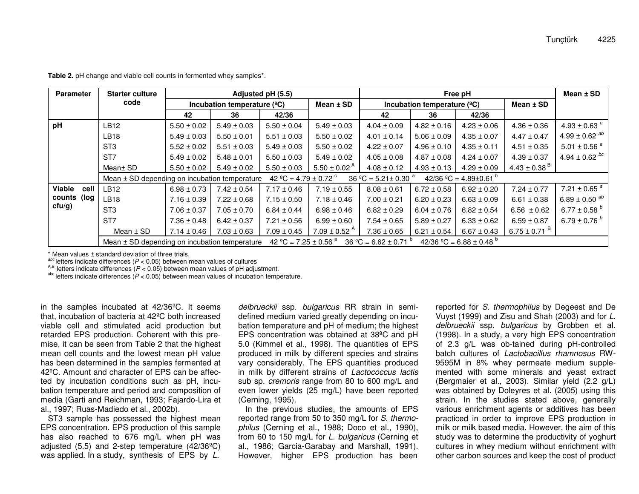| <b>Parameter</b>                           | <b>Starter culture</b>                                                                                                                                    | Adjusted pH (5.5)<br>Incubation temperature $(^{°}C)$ |                 |                 | Free pH                      |                 |                                  |                 |                              | Mean $±$ SD                   |
|--------------------------------------------|-----------------------------------------------------------------------------------------------------------------------------------------------------------|-------------------------------------------------------|-----------------|-----------------|------------------------------|-----------------|----------------------------------|-----------------|------------------------------|-------------------------------|
|                                            | code                                                                                                                                                      |                                                       |                 |                 | Mean $±$ SD                  |                 | Incubation temperature $(^{9}C)$ | Mean $±$ SD     |                              |                               |
|                                            |                                                                                                                                                           | 42                                                    | 36              | 42/36           |                              | 42              | 36                               | 42/36           |                              |                               |
| pH                                         | <b>LB12</b>                                                                                                                                               | $5.50 \pm 0.02$                                       | $5.49 \pm 0.03$ | $5.50 \pm 0.04$ | $5.49 \pm 0.03$              | $4.04 \pm 0.09$ | $4.82 \pm 0.16$                  | $4.23 \pm 0.06$ | $4.36 \pm 0.36$              | 4.93 ± 0.63 $^{c}$            |
|                                            | <b>LB18</b>                                                                                                                                               | $5.49 \pm 0.03$                                       | $5.50 \pm 0.01$ | $5.51 \pm 0.03$ | $5.50 \pm 0.02$              | $4.01 \pm 0.14$ | $5.06 \pm 0.09$                  | $4.35 \pm 0.07$ | $4.47 \pm 0.47$              | $4.99 \pm 0.62$ <sup>ab</sup> |
|                                            | ST <sub>3</sub>                                                                                                                                           | $5.52 \pm 0.02$                                       | $5.51 \pm 0.03$ | $5.49 \pm 0.03$ | $5.50 \pm 0.02$              | $4.22 \pm 0.07$ | $4.96 \pm 0.10$                  | $4.35 \pm 0.11$ | $4.51 \pm 0.35$              | 5.01 $\pm$ 0.56 $^{a}$        |
|                                            | ST <sub>7</sub>                                                                                                                                           | $5.49 \pm 0.02$                                       | $5.48 \pm 0.01$ | $5.50 \pm 0.03$ | $5.49 \pm 0.02$              | $4.05 \pm 0.08$ | $4.87 \pm 0.08$                  | $4.24 \pm 0.07$ | $4.39 \pm 0.37$              | $4.94 \pm 0.62$ bc            |
|                                            | Mean± SD                                                                                                                                                  | $5.50 \pm 0.02$                                       | $5.49 \pm 0.02$ | $5.50 \pm 0.03$ | $5.50 \pm 0.02^{\text{A}}$   | $4.08 \pm 0.12$ | $4.93 \pm 0.13$                  | $4.29 \pm 0.09$ | $4.43 \pm 0.38$ <sup>B</sup> |                               |
|                                            | 42 °C = 4.79 ± 0.72 $\textdegree$<br>$36 °C = 5.21 \pm 0.30 °$<br>42/36 °C = 4.89±0.61 °<br>Mean $\pm$ SD depending on incubation temperature             |                                                       |                 |                 |                              |                 |                                  |                 |                              |                               |
| Viable<br>cell<br>counts (log<br>$ctu/g$ ) | <b>LB12</b>                                                                                                                                               | $6.98 \pm 0.73$                                       | $7.42 \pm 0.54$ | $7.17 \pm 0.46$ | $7.19 \pm 0.55$              | $8.08 \pm 0.61$ | $6.72 \pm 0.58$                  | $6.92 \pm 0.20$ | $7.24 \pm 0.77$              | 7.21 $\pm$ 0.65 $^{a}$        |
|                                            | LB18                                                                                                                                                      | $7.16 \pm 0.39$                                       | $7.22 \pm 0.68$ | $7.15 \pm 0.50$ | $7.18 \pm 0.46$              | $7.00 \pm 0.21$ | $6.20 \pm 0.23$                  | $6.63 \pm 0.09$ | $6.61 \pm 0.38$              | 6.89 ± 0.50 $^{ab}$           |
|                                            | ST <sub>3</sub>                                                                                                                                           | $7.06 \pm 0.37$                                       | $7.05 \pm 0.70$ | $6.84 \pm 0.44$ | $6.98 \pm 0.46$              | $6.82 \pm 0.29$ | $6.04 \pm 0.76$                  | $6.82 \pm 0.54$ | $6.56 \pm 0.62$              | 6.77 ± 0.58 $^b$              |
|                                            | ST <sub>7</sub>                                                                                                                                           | $7.36 \pm 0.48$                                       | $6.42 \pm 0.37$ | $7.21 \pm 0.56$ | $6.99 \pm 0.60$              | $7.54 \pm 0.65$ | $5.89 \pm 0.27$                  | $6.33 \pm 0.62$ | $6.59 \pm 0.87$              | 6.79 $\pm$ 0.76 $^b$          |
|                                            | Mean $\pm$ SD                                                                                                                                             | $7.14 \pm 0.46$                                       | $7.03 \pm 0.63$ | $7.09 \pm 0.45$ | $7.09 \pm 0.52$ <sup>A</sup> | $7.36 \pm 0.65$ | $6.21 \pm 0.54$                  | $6.67 \pm 0.43$ | 6.75 ± 0.71 $^{\circ}$       |                               |
|                                            | 42 °C = 7.25 ± 0.56 $^{\circ}$<br>$36 °C = 6.62 \pm 0.71 °$<br>$42/36$ °C = 6.88 ± 0.48 <sup>b</sup><br>Mean $\pm$ SD depending on incubation temperature |                                                       |                 |                 |                              |                 |                                  |                 |                              |                               |

**Table 2.** pH change and viable cell counts in fermented whey samples\*.

\* Mean values ± standard deviation of three trials.

*abc* letters indicate

<sup>acc</sup> letters indicate differences (*P* < 0.05) between mean values of cultures<br><sup>A,B</sup> letters indicate differences (*P* < 0.05) between mean values of pH adjustment.

abc letters indicate differences (*P* <sup>&</sup>lt; 0.05) between mean values of incubation temperature.

in the samples incubated at 42/36ºC. It seems that, incubation of bacteria at 42ºC both increased viable cell and stimulated acid production but retarded EPS production. Coherent with this premise, it can be seen from Table 2 that the highest mean cell counts and the lowest mean pH value has been determined in the samples fermented at 42ºC. Amount and character of EPS can be affected by incubation conditions such as pH, incubation temperature and period and composition of media (Garti and Reichman, 1993; Fajardo-Lira et al., 1997; Ruas-Madiedo et al., 2002b).

ST3 sample has possessed the highest mean EPS concentration. EPS production of this sample has also reached to 676 mg/L when pH was adjusted (5.5) and 2-step temperature (42/36ºC) was applied. In <sup>a</sup> study, synthesis of EPS by *L.*

*delbrueckii* ssp. *bulgaricus* RR strain in semidefined medium varied greatly depending on incubation temperature and pH of medium; the highest EPS concentration was obtained at 38ºC and pH 5.0 (Kimmel et al., 1998). The quantities of EPS produced in milk by different species and strains vary considerably. The EPS quantities produced in milk by different strains of *Lactococcus lactis* sub sp. *cremoris* range from 80 to 600 mg/L and even lower yields (25 mg/L) have been reported (Cerning, 1995).

In the previous studies, the amounts of EPS reported range from 50 to 350 mg/L for *S. thermophilus* (Cerning et al., 1988; Doco et al., 1990), from 60 to 150 mg/L for *L. bulgaricus* (Cerning et al., 1986; Garcia-Garabay and Marshall, 1991). However, higher EPS production has been

reported for *S. thermophilus* by Degeest and De Vuyst (1999) and Zisu and Shah (2003) and for *L. delbrueckii* ssp. *bulgaricus* by Grobben et al. (1998). In <sup>a</sup> study, <sup>a</sup> very high EPS concentration of 2.3 g/L was ob-tained during pH-controlled batch cultures of *Lactobacillus rhamnosus* RW-9595M in 8% whey permeate medium supplemented with some minerals and yeast extract (Bergmaier et al., 2003). Similar yield (2.2 g/L) was obtained by Doleyres et al. (2005) using this strain. In the studies stated above, generally various enrichment agents or additives has been practiced in order to improve EPS production in milk or milk based media. However, the aim of this study was to determine the productivity of yoghurt cultures in whey medium without enrichment with other carbon sources and keep the cost of product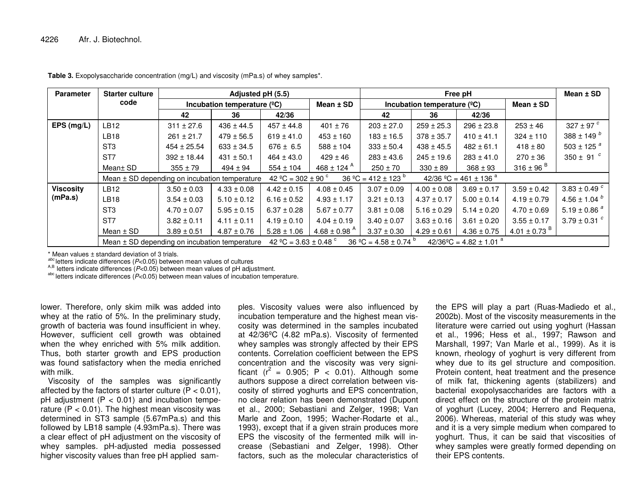| <b>Parameter</b>            | <b>Starter culture</b>                                                                                                                                  | Adjusted pH (5.5)                    |                 |                                |                                      | Free pH                    |                 |                                     |                              |                            |
|-----------------------------|---------------------------------------------------------------------------------------------------------------------------------------------------------|--------------------------------------|-----------------|--------------------------------|--------------------------------------|----------------------------|-----------------|-------------------------------------|------------------------------|----------------------------|
|                             | code                                                                                                                                                    | Incubation temperature $(^{\circ}C)$ |                 | Mean $±$ SD                    | Incubation temperature $(^{\circ}C)$ |                            |                 | Mean $±$ SD                         |                              |                            |
|                             |                                                                                                                                                         | 42                                   | 36              | 42/36                          |                                      | 42                         | 36              | 42/36                               |                              |                            |
| EPS (mg/L)                  | LB12                                                                                                                                                    | $311 \pm 27.6$                       | $436 \pm 44.5$  | $457 \pm 44.8$                 | $401 \pm 76$                         | $203 \pm 27.0$             | $259 \pm 25.3$  | $296 \pm 23.8$                      | $253 \pm 46$                 | 327 ± 97 $^c$              |
|                             | LB <sub>18</sub>                                                                                                                                        | $261 \pm 21.7$                       | $479 \pm 56.5$  | $619 \pm 41.0$                 | $453 \pm 160$                        | $183 \pm 16.5$             | $378 \pm 35.7$  | $410 \pm 41.1$                      | $324 \pm 110$                | 388 ± 149 $^{b}$           |
|                             | ST <sub>3</sub>                                                                                                                                         | $454 \pm 25.54$                      | $633 \pm 34.5$  | $676 \pm 6.5$                  | $588 \pm 104$                        | $333 \pm 50.4$             | $438 \pm 45.5$  | $482 \pm 61.1$                      | $418 \pm 80$                 | 503 ± 125 $a$              |
|                             | ST <sub>7</sub>                                                                                                                                         | $392 \pm 18.44$                      | $431 \pm 50.1$  | $464 \pm 43.0$                 | $429 \pm 46$                         | $283 \pm 43.6$             | $245 \pm 19.6$  | $283 \pm 41.0$                      | $270 \pm 36$                 | 350 ± 91 $^c$              |
|                             | Mean± SD                                                                                                                                                | $355 \pm 79$                         | $494 \pm 94$    | $554 \pm 104$                  | $468 \pm 124$ <sup>A</sup>           | $250 \pm 70$               | $330 \pm 89$    | $368 \pm 93$                        | 316 ± 96 $B$                 |                            |
|                             | Mean $\pm$ SD depending on incubation temperature                                                                                                       |                                      |                 | 42 °C = 302 ± 90 $\textdegree$ |                                      | $36 °C = 412 \pm 123 ^{b}$ |                 | $42/36$ °C = 461 ± 136 <sup>a</sup> |                              |                            |
| <b>Viscosity</b><br>(mPa.s) | <b>LB12</b>                                                                                                                                             | $3.50 \pm 0.03$                      | $4.33 \pm 0.08$ | $4.42 \pm 0.15$                | $4.08 \pm 0.45$                      | $3.07 \pm 0.09$            | $4.00 \pm 0.08$ | $3.69 \pm 0.17$                     | $3.59 \pm 0.42$              | $3.83 \pm 0.49$ $^{c}$     |
|                             | <b>LB18</b>                                                                                                                                             | $3.54 \pm 0.03$                      | $5.10 \pm 0.12$ | $6.16 \pm 0.52$                | $4.93 \pm 1.17$                      | $3.21 \pm 0.13$            | $4.37 \pm 0.17$ | $5.00 \pm 0.14$                     | $4.19 \pm 0.79$              | 4.56 ± 1.04 $^{b}$         |
|                             | ST <sub>3</sub>                                                                                                                                         | $4.70 \pm 0.07$                      | $5.95 \pm 0.15$ | $6.37 \pm 0.28$                | $5.67 \pm 0.77$                      | $3.81 \pm 0.08$            | $5.16 \pm 0.29$ | $5.14 \pm 0.20$                     | $4.70 \pm 0.69$              | 5.19 ± 0.86 $a$            |
|                             | ST <sub>7</sub>                                                                                                                                         | $3.82 \pm 0.11$                      | $4.11 \pm 0.11$ | $4.19 \pm 0.10$                | $4.04 \pm 0.19$                      | $3.40 \pm 0.07$            | $3.63 \pm 0.16$ | $3.61 \pm 0.20$                     | $3.55 \pm 0.17$              | 3.79 $\pm$ 0.31 $^{\circ}$ |
|                             | Mean $\pm$ SD                                                                                                                                           | $3.89 \pm 0.51$                      | $4.87 \pm 0.76$ | $5.28 \pm 1.06$                | 4.68 ± 0.98 $^{A}$                   | $3.37 \pm 0.30$            | $4.29 \pm 0.61$ | $4.36 \pm 0.75$                     | 4.01 $\pm$ 0.73 <sup>B</sup> |                            |
|                             | 42 °C = 3.63 $\pm$ 0.48 °<br>$36 °C = 4.58 \pm 0.74 °$<br>$42/36^{\circ}$ C = 4.82 ± 1.01 <sup>a</sup><br>Mean ± SD depending on incubation temperature |                                      |                 |                                |                                      |                            |                 |                                     |                              |                            |

**Table 3.** Exopolysaccharide concentration (mg/L) and viscosity (mPa.s) of whey samples\*.

\* Mean values ± standard deviation of 3 trials.

*abc* letters indicate

<sup>acc</sup> letters indicate differences (*P<*0.05) between mean values of cultures<br><sup>A,B</sup> letters indicate differences (*P<*0.05) between mean values of pH adjustment.

abc letters indicate differences (*P*<0.05) between mean values of incubation temperature.

lower. Therefore, only skim milk was added into whey at the ratio of 5%. In the preliminary study, growth of bacteria was found insufficient in whey. However, sufficient cell growth was obtained when the whey enriched with 5% milk addition. Thus, both starter growth and EPS production was found satisfactory when the media enriched with milk.

Viscosity of the samples was significantly affected by the factors of starter culture (P <sup>&</sup>lt; 0.01),  $pH$  adjustment ( $P < 0.01$ ) and incubation temperature (P <sup>&</sup>lt; 0.01). The highest mean viscosity was determined in ST3 sample (5.67mPa.s) and this followed by LB18 sample (4.93mPa.s). There was a clear effect of pH adjustment on the viscosity of whey samples. pH-adjusted media possessed higher viscosity values than free pH applied sam-

ples. Viscosity values were also influenced by incubation temperature and the highest mean vis cosity was determined in the samples incubated at 42/36ºC (4.82 mPa.s). Viscosity of fermented whey samples was strongly affected by their EPS contents. Correlation coefficient between the EPSconcentration and the viscosity was very signi ficant ( $r^2$  = 0.905; P < 0.01). Although some authors suppose <sup>a</sup> direct correlation between vis cosity of stirred yoghurts and EPS concentration, no clear relation has been demonstrated (Dupont et al., 2000; Sebastiani and Zelger, 1998; Van Marle and Zoon, 1995; Wacher-Rodarte et al., 1993), except that if <sup>a</sup> given strain produces more EPS the viscosity of the fermented milk will in crease (Sebastiani and Zelger, 1998). Other ples. Viscosity values were also influenced by<br>
incubation temperature and the highest mean vis-<br>
2002b). Most of the viscosity measurements in the<br>
incubation temperature were carried out using yoghurt (Hassan<br>
at 42/36°C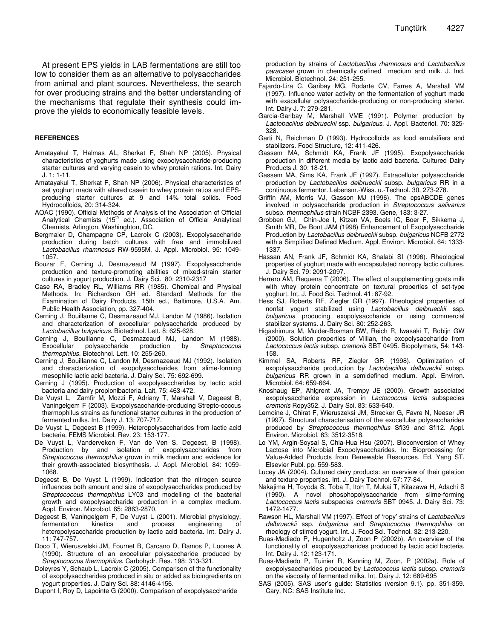At present EPS yields in LAB fermentations are still too low to consider them as an alternative to polysaccharides from animal and plant sources. Nevertheless, the search for over producing strains and the better understanding of the mechanisms that regulate their synthesis could improve the yields to economically feasible levels.

#### **REFERENCES**

- Amatayakul T, Halmas AL, Sherkat F, Shah NP (2005). Physical characteristics of yoghurts made using exopolysaccharide-producing starter cultures and varying casein to whey protein rations. Int. Dairy J. 1: 1-11.
- Amatayakul T, Sherkat F, Shah NP (2006). Physical characteristics of set yoghurt made with altered casein to whey protein ratios and EPSproducing starter cultures at 9 and 14% total solids. Food Hydrocolloids, 20: 314-324.
- AOAC (1990). Official Methods of Analysis of the Association of Official Analytical Chemists (15<sup>th</sup> ed.). Association of Official Analytical Chemists. Arlington, Washinghton, DC.
- Bergmaier D, Champagne CP, Lacroix C (2003). Exopolysaccharide production during batch cultures with free and immobilized *Lactobacillus rhamnosus* RW-9595M. J. Appl. Microbiol. 95: 1049- 1057.
- Bouzar F, Cerning J, Desmazeaud M (1997). Exopolysaccharide production and texture-promoting abilities of mixed-strain starter cultures in yogurt production. J. Dairy Sci. 80: 2310-2317
- Case RA, Bradley RL, Williams RR (1985). Chemical and Physical Methods. In: Richardson GH ed. Standard Methods for the Examination of Dairy Products, 15th ed., Baltimore, U.S.A. Am. Public Health Association, pp. 327-404.
- Cerning J, Bouillanne C, Desmazeaud MJ, Landon M (1986). Isolation and characterization of exocellular polysaccharide produced by *Lactobacillus bulgaricus*. Biotechnol. Lett. 8: 625-628.
- Cerning J, Bouillanne C, Desmazeaud MJ, Landon M (1988). Exocellular polysaccharide production by *Streptococcus thermophilus*. Biotechnol. Lett. 10: 255-260.
- Cerning J, Bouillanne C, Landon M, Desmazeaud MJ (1992). Isolation and characterization of exopolysaccharides from slime-forming mesophilic lactic acid bacteria. J. Dairy Sci. 75: 692-699.
- Cerning J (1995). Production of exopolysaccharides by lactic acid bacteria and dairy propionibacteria. Lait, 75: 463-472.
- De Vuyst L, Zamfir M, Mozzi F, Adriany T, Marshall V, Degeest B, Vaningelgem F (2003). Exopolysaccharide-producing Strepto-coccus thermophilus strains as functional starter cultures in the production of fermented milks. Int. Dairy J. 13: 707-717.
- De Vuyst L, Degeest B (1999). Heteropolysaccharides from lactic acid bacteria. FEMS Microbiol. Rev. 23: 153-177.
- De Vuyst L, Vanderveken F, Van de Ven S, Degeest, B (1998). Production by and isolation of exopolysaccharides from *Streptococcus thermophilus* grown in milk medium and evidence for their growth-associated biosynthesis. J. Appl. Microbiol. 84: 1059- 1068.
- Degeest B, De Vuyst L (1999). Indication that the nitrogen source influences both amount and size of exopolysaccharides produced by *Streptococcus thermophilus* LY03 and modelling of the bacterial growth and exopolysaccharide production in a complex medium. Appl. Environ. Microbiol. 65: 2863-2870.
- Degeest B, Vaningelgem F, De Vuyst L (2001). Microbial physiology, fermentation kinetics and process engineering of heteropolysaccharide production by lactic acid bacteria. Int. Dairy J. 11: 747-757.
- Doco T, Wieruszelski JM, Fournet B, Carcano D, Ramos P, Loones A (1990). Structure of an exocellular polysaccharide produced by *Streptococcus thermophilus*. Carbohydr. Res. 198: 313-321.
- Doleyres Y, Schaub L, Lacroix C (2005). Comparison of the functionality of exopolysaccharides produced in situ or added as bioingredients on yogurt properties. J. Dairy Sci. 88: 4146-4156.
- Dupont I, Roy D, Lapointe G (2000). Comparison of exopolysaccharide

production by strains of *Lactobacillus rhamnosus* and *Lactobacillus paracasei* grown in chemically defined medium and milk. J. Ind. Microbiol. Biotechnol. 24: 251-255.

- Fajardo-Lira C, Garibay MG, Rodarte CV, Farres A, Marshall VM (1997). Influence water activity on the fermentation of yoghurt made with exacellular polysaccharide-producing or non-producing starter. Int. Dairy J. 7: 279-281.
- Garcia-Garibay M, Marshall VME (1991). Polymer production by *Lactobacillus delbrueckii* ssp. *bulgaricus*. J. Appl. Bacteriol. 70: 325- 328.
- Garti N, Reichman D (1993). Hydrocolloids as food emulsifiers and stabilizers. Food Structure, 12: 411-426.
- Gassem MA, Schmidt KA, Frank JF (1995). Exopolysaccharide production in different media by lactic acid bacteria. Cultured Dairy Products J. 30: 18-21.
- Gassem MA, Sims KA, Frank JF (1997). Extracellular polysaccharide production by *Lactobacillus delbrueckii* subsp. *bulgaricus* RR in a continuous fermentor. Lebensm.-Wiss. u.-Technol. 30, 273-278.
- Griffin AM, Morris VJ, Gasson MJ (1996). The cpsABCDE genes involved in polysaccharide production in *Streptococcus salivarius* subsp. *thermophilus* strain NCBF 2393. Gene, 183: 3-27.
- Grobben GJ, Chin-Joe I, Kitzen VA, Boels IC, Boer F, Sikkema J, Smith MR, De Bont JAM (1998) Enhancement of Exopolysaccharide Production by *Lactobacillus delbrueckii* subsp. *bulgaricus* NCFB 2772 with a Simplified Defined Medium. Appl. Environ. Microbiol. 64: 1333- 1337.
- Hassan AN, Frank JF, Schmidt KA, Shalabi SI (1996). Rheological properties of yoghurt made with encapsulated nonropy lactic cultures. J. Dairy Sci. 79: 2091-2097.
- Herrero AM, Requena T (2006). The effect of supplementing goats milk with whey protein concentrate on textural properties of set-type yoghurt. Int. J. Food Sci. Technol. 41: 87-92.
- Hess SJ, Roberts RF, Ziegler GR (1997). Rheological properties of nonfat yogurt stabilized using *Lactobacillus delbrueckii* ssp. *bulgaricus* producing exopolysaccharide or using commercial stabilizer systems. J. Dairy Sci. 80: 252-263.
- Higashimura M, Mulder-Bosman BW, Reich R, Iwasaki T, Robijn GW (2000). Solution properties of Viilian, the exopolysaccharide from *Lactococcus lactis* subsp. *cremoris* SBT 0495. Biopolymers, 54: 143- 158.
- Kimmel SA, Roberts RF, Ziegler GR (1998). Optimization of exopolysaccharide production by *Lactobacillus delbrueckii* subsp. *bulgaricus* RR grown in a semidefined medium. Appl. Environ. Microbiol. 64: 659-664.
- Knoshaug EP, Ahlgrent JA, Trempy JE (2000). Growth associated exopolysaccharide expression in *Lactococcus lactis* subspecies *cremoris* Ropy352. J. Dairy Sci. 83: 633-640.
- Lemoine J, Chirat F, Wieruszeksi JM, Strecker G, Favre N, Neeser JR (1997). Structural characterisation of the exocellular polysaccharides produced by *Streptococcus thermophilus* Sfi39 and Sfi12. Appl. Environ. Microbiol. 63: 3512-3518.
- Lo YM, Argin-Soysal S, Chia-Hua Hsu (2007). Bioconversion of Whey Lactose into Microbial Exopolysaccharides. In: Bioprocessing for Value-Added Products from Renewable Resources. Ed. Yang ST, Elsevier Publ. pp. 559-583.
- Lucey JA (2004). Cultured dairy products: an overview of their gelation and texture properties. Int. J. Dairy Technol. 57: 77-84.
- Nakajima H, Toyoda S, Toba T, Itoh T, Mukai T, Kitazawa H, Adachi S (1990). A novel phosphopolysaccharide from slime-forming *Lactococcus lactis* subspecies *cremoris* SBT 0945. J. Dairy Sci. 73: 1472-1477.
- Rawson HL, Marshall VM (1997). Effect of 'ropy' strains of *Lactobacillus delbrueckii* ssp. *bulgaricus* and *Streptococcus thermophilus* on rheology of stirred yogurt. Int. J. Food Sci. Technol. 32: 213-220.
- Ruas-Madiedo P, Hugenholtz J, Zoon P (2002b). An overview of the functionality of exopolysaccharides produced by lactic acid bacteria. Int. Dairy J. 12: 123-171.
- Ruas-Madiedo P, Tuinier R, Kanning M, Zoon, P (2002a). Role of exopolysaccharides produced by *Lactococcus lactis* subsp. *cremoris* on the viscosity of fermented milks. Int. Dairy J. 12: 689-695
- SAS (2005). SAS user's guide: Statistics (version 9.1). pp. 351-359. Cary, NC: SAS Institute Inc.